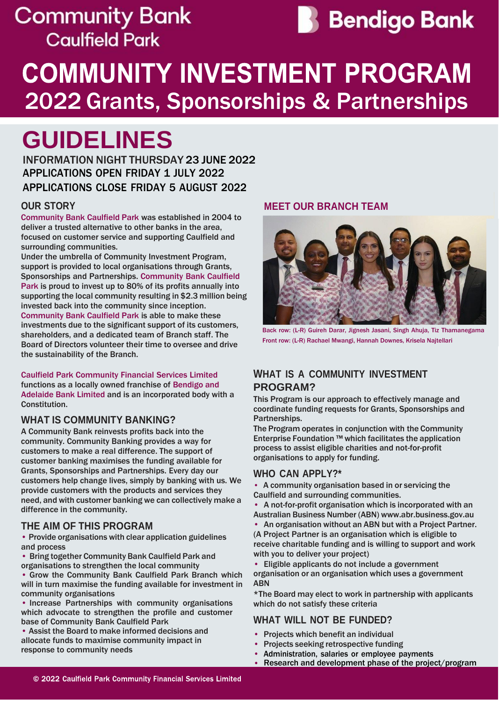## **Community Bank Caulfield Park**



# **COMMUNITY INVESTMENT PROGRAM** 2022 Grants, Sponsorships & Partnerships

# **GUIDELINES**

INFORMATION NIGHT THURSDAY 23 JUNE 2022 APPLICATIONS OPEN FRIDAY 1 JULY 2022 APPLICATIONS CLOSE FRIDAY 5 AUGUST 2022

## **OUR STORY**

Community Bank Caulfield Park was established in 2004 to deliver a trusted alternative to other banks in the area, focused on customer service and supporting Caulfield and surrounding communities.

Under the umbrella of Community Investment Program, support is provided to local organisations through Grants, Sponsorships and Partnerships. Community Bank Caulfield Park is proud to invest up to 80% of its profits annually into supporting the local community resulting in \$2.3 million being invested back into the community since inception. Community Bank Caulfield Park is able to make these investments due to the significant support of its customers, shareholders, and a dedicated team of Branch staff. The Board of Directors volunteer their time to oversee and drive the sustainability of the Branch.

Caulfield Park Community Financial Services Limited functions as a locally owned franchise of Bendigo and Adelaide Bank Limited and is an incorporated body with a Constitution.

## **WHAT IS COMMUNITY BANKING?**

A Community Bank reinvests profits back into the community. Community Banking provides a way for customers to make a real difference. The support of customer banking maximises the funding available for Grants, Sponsorships and Partnerships. Every day our customers help change lives, simply by banking with us. We provide customers with the products and services they need, and with customer banking we can collectively make a difference in the community.

### **THE AIM OF THIS PROGRAM**

• Provide organisations with clear application guidelines and process

- Bring together Community Bank Caulfield Park and
- organisations to strengthen the local community • Grow the Community Bank Caulfield Park Branch which

will in turn maximise the funding available for investment in community organisations

• Increase Partnerships with community organisations which advocate to strengthen the profile and customer base of Community Bank Caulfield Park

• Assist the Board to make informed decisions and allocate funds to maximise community impact in response to community needs

### **MEET OUR BRANCH TEAM**



Back row: (L-R) Guireh Darar, Jignesh Jasani, Singh Ahuja, Tiz Thamanegama Front row: (L-R) Rachael Mwangi, Hannah Downes, Krisela Najtellari

## **WHAT IS A COMMUNITY INVESTMENT PROGRAM?**

This Program is our approach to effectively manage and coordinate funding requests for Grants, Sponsorships and Partnerships.

The Program operates in conjunction with the Community Enterprise Foundation ™ which facilitates the application process to assist eligible charities and not-for-profit organisations to apply for funding.

### **WHO CAN APPLY?\***

- A community organisation based in or servicing the Caulfield and surrounding communities.
- A not-for-profit organisation which is incorporated with an
- Australian Business Number (ABN) [www.abr.business.gov.au](http://www.abr.business.gov.au/) • An organisation without an ABN but with a Project [Partner.](http://www.abr.business.gov.au/)

(A Project Partner is an organisation which is eligible to receive charitable funding and is willing to support and work with you to deliver your project)

• Eligible applicants do not include a government organisation or an organisation which uses a government ABN

\*The Board may elect to work in partnership with applicants which do not satisfy these criteria

### **WHAT WILL NOT BE FUNDED?**

- Projects which benefit an individual
- Projects seeking retrospective funding
- Administration, salaries or employee payments
- Research and development phase of the project/program